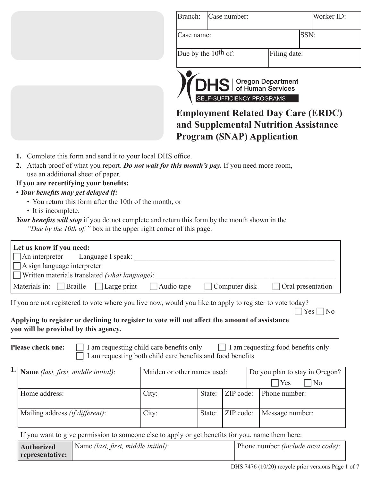|                                                                                                                                                                                                                                                                                                                                                                                   | Branch:<br>Case number:                                     | Worker ID:                                              |
|-----------------------------------------------------------------------------------------------------------------------------------------------------------------------------------------------------------------------------------------------------------------------------------------------------------------------------------------------------------------------------------|-------------------------------------------------------------|---------------------------------------------------------|
|                                                                                                                                                                                                                                                                                                                                                                                   | Case name:                                                  | SSN:                                                    |
|                                                                                                                                                                                                                                                                                                                                                                                   | Due by the 10 <sup>th</sup> of:                             | Filing date:                                            |
|                                                                                                                                                                                                                                                                                                                                                                                   | <b>DHS</b>   Oregon Department<br>SELF-SUFFICIENCY PROGRAMS | <b>Employment Related Day Care (ERDC)</b>               |
|                                                                                                                                                                                                                                                                                                                                                                                   | <b>Program (SNAP) Application</b>                           | and Supplemental Nutrition Assistance                   |
| use an additional sheet of paper.<br>If you are recertifying your benefits:<br>• Your benefits may get delayed if:<br>• You return this form after the 10th of the month, or<br>• It is incomplete.<br><b>Your benefits will stop</b> if you do not complete and return this form by the month shown in the<br>"Due by the 10th of: " box in the upper right corner of this page. |                                                             |                                                         |
| Let us know if you need:<br>An interpreter<br>Language I speak:<br>A sign language interpreter<br>Written materials translated (what language):                                                                                                                                                                                                                                   |                                                             |                                                         |
| Materials in:<br><b>Braille</b><br>Large print                                                                                                                                                                                                                                                                                                                                    | Computer disk<br>Audio tape                                 | Oral presentation                                       |
| If you are not registered to vote where you live now, would you like to apply to register to vote today?<br>Applying to register or declining to register to vote will not affect the amount of assistance<br>you will be provided by this agency.                                                                                                                                |                                                             | $Yes   \neg No$                                         |
| Please check one:<br>I am requesting child care benefits only                                                                                                                                                                                                                                                                                                                     | am requesting both child care benefits and food benefits    | I am requesting food benefits only                      |
| Name (last, first, middle initial):                                                                                                                                                                                                                                                                                                                                               | Maiden or other names used:                                 | Do you plan to stay in Oregon?<br>N <sub>o</sub><br>Yes |

| Home address:                           | City: |  | State: ZIP code: Phone number:     |
|-----------------------------------------|-------|--|------------------------------------|
| Mailing address <i>(if different)</i> : | City: |  | State: ZIP code:   Message number: |

If you want to give permission to someone else to apply or get benefits for you, name them here:

| <b>Authorized</b> | Name <i>(last, first, middle initial)</i> : | Phone number <i>(include area code)</i> : |
|-------------------|---------------------------------------------|-------------------------------------------|
| representative:   |                                             |                                           |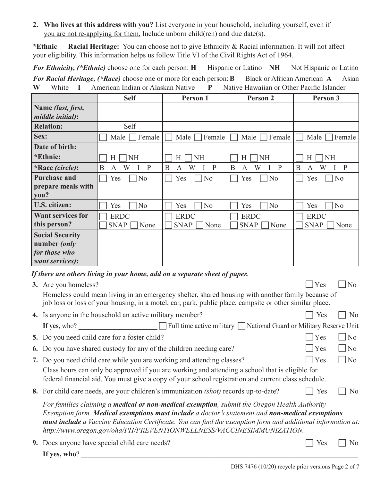**2. Who lives at this address with you?** List everyone in your household, including yourself, even if you are not re-applying for them. Include unborn child(ren) and due date(s).

**\*Ethnic** — **Racial Heritage:** You can choose not to give Ethnicity & Racial information. It will not affect your eligibility. This information helps us follow Title VI of the Civil Rights Act of 1964.

*For Ethnicity, (\*Ethnic)* choose one for each person: **H** — Hispanic or Latino **NH** — Not Hispanic or Latino *For Racial Heritage, (\*Race)* choose one or more for each person:**B** — Black or African American **A** — Asian **W** — White **I** — American Indian or Alaskan Native **P** — Native Hawaiian or Other Pacific Islander

|                          | <b>Self</b>                 | Person 1              | Person 2              | Person 3                    |
|--------------------------|-----------------------------|-----------------------|-----------------------|-----------------------------|
| Name (last, first,       |                             |                       |                       |                             |
| <i>middle initial):</i>  |                             |                       |                       |                             |
| <b>Relation:</b>         | Self                        |                       |                       |                             |
| Sex:                     | Female<br>Male              | Female<br>Male        | Female<br>Male        | Female<br>Male              |
| Date of birth:           |                             |                       |                       |                             |
| *Ethnic:                 | <b>NH</b><br>Н              | H<br><b>NH</b>        | <b>NH</b><br>H        | <b>NH</b><br>H              |
| *Race (circle):          | B<br>$\mathbf{P}$<br>W<br>A | B<br>W<br>P<br>A      | B<br>W<br>P<br>A      | B<br>W<br>$\mathbf{P}$<br>A |
| <b>Purchase and</b>      | Yes<br>N <sub>o</sub>       | N <sub>o</sub><br>Yes | N <sub>o</sub><br>Yes | N <sub>o</sub><br>Yes       |
| prepare meals with       |                             |                       |                       |                             |
| you?                     |                             |                       |                       |                             |
| U.S. citizen:            | No<br>Yes                   | N <sub>o</sub><br>Yes | N <sub>o</sub><br>Yes | N <sub>o</sub><br>Yes       |
| <b>Want services for</b> | <b>ERDC</b>                 | <b>ERDC</b>           | <b>ERDC</b>           | <b>ERDC</b>                 |
| this person?             | <b>SNAP</b><br>None         | <b>SNAP</b><br>None   | <b>SNAP</b><br>None   | <b>SNAP</b><br>None         |
| <b>Social Security</b>   |                             |                       |                       |                             |
| number (only             |                             |                       |                       |                             |
| for those who            |                             |                       |                       |                             |
| want services):          |                             |                       |                       |                             |

*If there are others living in your home, add on a separate sheet of paper.*

| g mere ure omers armig in jour nome, uuu on u sepurute sneet of puper.                                                                                                                                                                                                                                                                                                                   |     |                |  |
|------------------------------------------------------------------------------------------------------------------------------------------------------------------------------------------------------------------------------------------------------------------------------------------------------------------------------------------------------------------------------------------|-----|----------------|--|
| <b>3.</b> Are you homeless?                                                                                                                                                                                                                                                                                                                                                              | Yes | N <sub>0</sub> |  |
| Homeless could mean living in an emergency shelter, shared housing with another family because of<br>job loss or loss of your housing, in a motel, car, park, public place, campsite or other similar place.                                                                                                                                                                             |     |                |  |
| 4. Is anyone in the household an active military member?                                                                                                                                                                                                                                                                                                                                 | Yes | No             |  |
| $\Box$ Full time active military $\Box$ National Guard or Military Reserve Unit<br>If yes, who?                                                                                                                                                                                                                                                                                          |     |                |  |
| 5. Do you need child care for a foster child?                                                                                                                                                                                                                                                                                                                                            | Yes | No             |  |
| 6. Do you have shared custody for any of the children needing care?                                                                                                                                                                                                                                                                                                                      | Yes | No             |  |
| 7. Do you need child care while you are working and attending classes?                                                                                                                                                                                                                                                                                                                   | Yes | No             |  |
| Class hours can only be approved if you are working and attending a school that is eligible for<br>federal financial aid. You must give a copy of your school registration and current class schedule.                                                                                                                                                                                   |     |                |  |
| 8. For child care needs, are your children's immunization <i>(shot)</i> records up-to-date?                                                                                                                                                                                                                                                                                              | Yes | N <sub>0</sub> |  |
| For families claiming a medical or non-medical exemption, submit the Oregon Health Authority<br>Exemption form. Medical exemptions must include a doctor's statement and non-medical exemptions<br>must include a Vaccine Education Certificate. You can find the exemption form and additional information at:<br>http://www.oregon.gov/oha/PH/PREVENTIONWELLNESS/VACCINESIMMUNIZATION. |     |                |  |
| <b>9.</b> Does anyone have special child care needs?                                                                                                                                                                                                                                                                                                                                     | Yes | N <sub>0</sub> |  |
|                                                                                                                                                                                                                                                                                                                                                                                          |     |                |  |

If yes, who?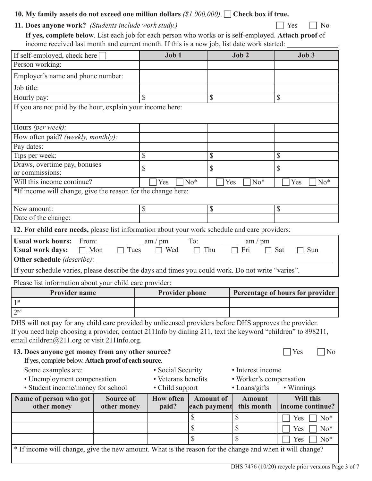| 10. My family assets do not exceed one million dollars $(1,000,000)$ . $\Box$ Check box if true. |  |  |
|--------------------------------------------------------------------------------------------------|--|--|
|--------------------------------------------------------------------------------------------------|--|--|

|  | 11. Does anyone work? (Students include work study.) | $\Box$ Yes $\Box$ No |
|--|------------------------------------------------------|----------------------|
|--|------------------------------------------------------|----------------------|

**If yes, complete below**. List each job for each person who works or is self-employed. **Attach proof** of income received last month and current month. If this is a new job, list date work started: \_\_\_\_\_\_\_\_\_\_\_\_\_\_.

| If self-employed, check here                                                                                                                                                                                                                                                                                                                                                          |                                 | Job 1                     |                                  | Job 2                       | Job 3                            |
|---------------------------------------------------------------------------------------------------------------------------------------------------------------------------------------------------------------------------------------------------------------------------------------------------------------------------------------------------------------------------------------|---------------------------------|---------------------------|----------------------------------|-----------------------------|----------------------------------|
| Person working:                                                                                                                                                                                                                                                                                                                                                                       |                                 |                           |                                  |                             |                                  |
| Employer's name and phone number:                                                                                                                                                                                                                                                                                                                                                     |                                 |                           |                                  |                             |                                  |
| Job title:                                                                                                                                                                                                                                                                                                                                                                            |                                 |                           |                                  |                             |                                  |
| Hourly pay:                                                                                                                                                                                                                                                                                                                                                                           |                                 |                           | \$                               |                             | \$                               |
| If you are not paid by the hour, explain your income here:                                                                                                                                                                                                                                                                                                                            |                                 |                           |                                  |                             |                                  |
| Hours (per week):                                                                                                                                                                                                                                                                                                                                                                     |                                 |                           |                                  |                             |                                  |
| How often paid? (weekly, monthly):                                                                                                                                                                                                                                                                                                                                                    |                                 |                           |                                  |                             |                                  |
| Pay dates:                                                                                                                                                                                                                                                                                                                                                                            |                                 |                           |                                  |                             |                                  |
| Tips per week:                                                                                                                                                                                                                                                                                                                                                                        |                                 | \$                        | \$                               |                             | \$                               |
| Draws, overtime pay, bonuses<br>or commissions:                                                                                                                                                                                                                                                                                                                                       |                                 | \$                        | \$                               |                             | \$                               |
| Will this income continue?                                                                                                                                                                                                                                                                                                                                                            |                                 | Yes                       | $No*$                            | Yes<br>$No*$                | Yes<br>$No*$                     |
| *If income will change, give the reason for the change here:                                                                                                                                                                                                                                                                                                                          |                                 |                           |                                  |                             |                                  |
| New amount:                                                                                                                                                                                                                                                                                                                                                                           |                                 | \$                        | \$                               |                             | \$                               |
| Date of the change:                                                                                                                                                                                                                                                                                                                                                                   |                                 |                           |                                  |                             |                                  |
| 12. For child care needs, please list information about your work schedule and care providers:                                                                                                                                                                                                                                                                                        |                                 |                           |                                  |                             |                                  |
| <b>Usual work days:</b><br>Other schedule (describe):<br>If your schedule varies, please describe the days and times you could work. Do not write "varies".<br>Please list information about your child care provider:                                                                                                                                                                |                                 | □ Mon □ Tues □ Wed □ Thu  |                                  | Fri<br>$\Box$               | Sat<br>Sun                       |
| <b>Provider name</b>                                                                                                                                                                                                                                                                                                                                                                  |                                 | <b>Provider phone</b>     |                                  |                             | Percentage of hours for provider |
| $1^{\rm st}$                                                                                                                                                                                                                                                                                                                                                                          |                                 |                           |                                  |                             |                                  |
| $2^{\rm nd}$                                                                                                                                                                                                                                                                                                                                                                          |                                 |                           |                                  |                             |                                  |
| DHS will not pay for any child care provided by unlicensed providers before DHS approves the provider.<br>If you need help choosing a provider, contact 211Info by dialing 211, text the keyword "children" to 898211,<br>email children $@211.org$ or visit 211Info.org.<br>13. Does anyone get money from any other source?<br>If yes, complete below. Attach proof of each source. |                                 |                           |                                  |                             | Yes<br>N <sub>o</sub>            |
| Some examples are:                                                                                                                                                                                                                                                                                                                                                                    |                                 | • Social Security         |                                  | • Interest income           |                                  |
| • Unemployment compensation                                                                                                                                                                                                                                                                                                                                                           |                                 | • Veterans benefits       |                                  | · Worker's compensation     |                                  |
| • Student income/money for school                                                                                                                                                                                                                                                                                                                                                     |                                 | • Child support           |                                  | $\bullet$ Loans/gifts       | • Winnings                       |
| Name of person who got<br>other money                                                                                                                                                                                                                                                                                                                                                 | <b>Source of</b><br>other money | <b>How often</b><br>paid? | <b>Amount of</b><br>each payment | <b>Amount</b><br>this month | Will this<br>income continue?    |
|                                                                                                                                                                                                                                                                                                                                                                                       |                                 |                           | \$                               | \$                          | $No*$<br>Yes                     |
|                                                                                                                                                                                                                                                                                                                                                                                       |                                 |                           | \$                               | \$                          | $No*$<br>Yes                     |
|                                                                                                                                                                                                                                                                                                                                                                                       |                                 |                           | \$                               | \$                          | $No*$<br>Yes                     |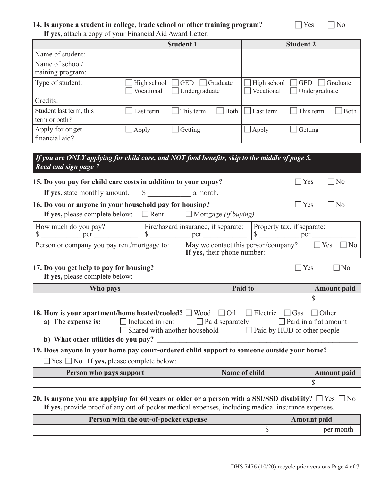#### **14.** Is anyone a student in college, trade school or other training program?  $\Box$  Yes  $\Box$  No **If yes,** attach a copy of your Financial Aid Award Letter.

|                                          |                           | <b>Student 1</b>                        |                           | <b>Student 2</b>                        |
|------------------------------------------|---------------------------|-----------------------------------------|---------------------------|-----------------------------------------|
| Name of student:                         |                           |                                         |                           |                                         |
| Name of school/<br>training program:     |                           |                                         |                           |                                         |
| Type of student:                         | High school<br>Vocational | <b>GED</b><br>Graduate<br>Undergraduate | High school<br>Vocational | Graduate<br><b>GED</b><br>Undergraduate |
| Credits:                                 |                           |                                         |                           |                                         |
| Student last term, this<br>term or both? | Last term                 | This term<br>Both                       | Last term                 | This term<br><b>Both</b>                |
| Apply for or get<br>financial aid?       | Apply                     | Getting                                 | Apply                     | Getting                                 |

| If you are ONLY applying for child care, and NOT food benefits, skip to the middle of page 5.<br>Read and sign page 7 |  |                                                                    |                                        |                       |  |
|-----------------------------------------------------------------------------------------------------------------------|--|--------------------------------------------------------------------|----------------------------------------|-----------------------|--|
| 15. Do you pay for child care costs in addition to your copay?                                                        |  |                                                                    | Yes                                    | N <sub>0</sub>        |  |
| If yes, state monthly amount. \$ a month.                                                                             |  |                                                                    |                                        |                       |  |
| 16. Do you or anyone in your household pay for housing?                                                               |  |                                                                    | Yes                                    | N <sub>0</sub>        |  |
| If yes, please complete below: $\Box$ Rent $\Box$ Mortgage <i>(if buying)</i>                                         |  |                                                                    |                                        |                       |  |
| How much do you pay?<br><sup>S</sup><br>per                                                                           |  | Fire/hazard insurance, if separate:<br>per                         | Property tax, if separate:<br>S<br>per |                       |  |
| Person or company you pay rent/mortgage to:                                                                           |  | May we contact this person/company?<br>If yes, their phone number: |                                        | Yes<br>N <sub>0</sub> |  |
| 17. Do you get help to pay for housing?<br>If yes, please complete below:                                             |  |                                                                    | Yes                                    | - I No                |  |
| Who pays                                                                                                              |  | Paid to                                                            |                                        | <b>Amount</b> paid    |  |

# **18. How is your apartment/home heated/cooled?**  $\Box$  **Wood**  $\Box$  **Oil**  $\Box$  **Electric**  $\Box$  **Gas**  $\Box$  **Other a)** The expense is:  $\Box$  Included in rent  $\Box$  Paid separately  $\Box$  Paid in a flat amount

| $\Box$ Shared with another household |  |  |                                    |
|--------------------------------------|--|--|------------------------------------|
|                                      |  |  | $\Box$ Paid by HUD or other people |

**b)** What other utilities do you pay?

**19. Does anyone in your home pay court-ordered child support to someone outside your home?**

 $\Box$  Yes  $\Box$  No **If yes,** please complete below:

| <b>Person who pays support</b> | <b>Name of child</b> | <b>Amount paid</b> |
|--------------------------------|----------------------|--------------------|
|                                |                      |                    |

# **20.** Is anyone you are applying for 60 years or older or a person with a SSI/SSD disability?  $\Box$  Yes  $\Box$  No

**If yes,** provide proof of any out-of-pocket medical expenses, including medical insurance expenses.

| <b>Person with the out-of-pocket expense</b> | <b>Amount paid</b> |
|----------------------------------------------|--------------------|
|                                              |                    |

\$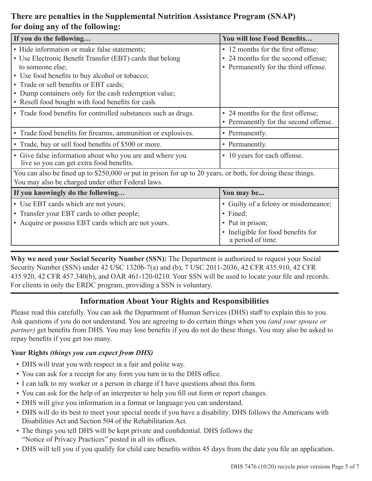## **There are penalties in the Supplemental Nutrition Assistance Program (SNAP) for doing any of the following:**

| If you do the following                                                                                     | You will lose Food Benefits                             |  |  |
|-------------------------------------------------------------------------------------------------------------|---------------------------------------------------------|--|--|
| • Hide information or make false statements;                                                                | • 12 months for the first offense;                      |  |  |
| • Use Electronic Benefit Transfer (EBT) cards that belong                                                   | • 24 months for the second offense;                     |  |  |
| to someone else;                                                                                            | • Permanently for the third offense.                    |  |  |
| • Use food benefits to buy alcohol or tobacco;                                                              |                                                         |  |  |
| • Trade or sell benefits or EBT cards;                                                                      |                                                         |  |  |
| • Dump containers only for the cash redemption value;                                                       |                                                         |  |  |
| • Resell food bought with food benefits for cash.                                                           |                                                         |  |  |
| • Trade food benefits for controlled substances such as drugs.                                              | • 24 months for the first offense;                      |  |  |
|                                                                                                             | • Permanently for the second offense.                   |  |  |
| • Trade food benefits for firearms, ammunition or explosives.                                               | • Permanently.                                          |  |  |
| • Trade, buy or sell food benefits of \$500 or more.                                                        | • Permanently.                                          |  |  |
| • Give false information about who you are and where you<br>live so you can get extra food benefits.        | • 10 years for each offense.                            |  |  |
| You can also be fined up to \$250,000 or put in prison for up to 20 years, or both, for doing these things. |                                                         |  |  |
| You may also be charged under other Federal laws.                                                           |                                                         |  |  |
| If you knowingly do the following                                                                           | You may be                                              |  |  |
| • Use EBT cards which are not yours;                                                                        | • Guilty of a felony or misdemeanor;                    |  |  |
| • Transfer your EBT cards to other people;                                                                  | · Fined;                                                |  |  |
| • Acquire or possess EBT cards which are not yours.                                                         | • Put in prison;                                        |  |  |
|                                                                                                             | • Ineligible for food benefits for<br>a period of time. |  |  |

**Why we need your Social Security Number (SSN):** The Department is authorized to request your Social Security Number (SSN) under 42 USC 1320b-7(a) and (b), 7 USC 2011-2036, 42 CFR 435.910, 42 CFR 435.920, 42 CFR 457.340(b), and OAR 461-120-0210. Your SSN will be used to locate your file and records. For clients in only the ERDC program, providing a SSN is voluntary.

### **Information About Your Rights and Responsibilities**

Please read this carefully. You can ask the Department of Human Services (DHS) staff to explain this to you. Ask questions if you do not understand. You are agreeing to do certain things when you *(and your spouse or partner)* get benefits from DHS. You may lose benefits if you do not do these things. You may also be asked to repay benefits if you get too many.

#### **Your Rights** *(things you can expect from DHS)*

- DHS will treat you with respect in a fair and polite way.
- You can ask for a receipt for any form you turn in to the DHS office.
- I can talk to my worker or a person in charge if I have questions about this form.
- You can ask for the help of an interpreter to help you fill out form or report changes.
- DHS will give you information in a format or language you can understand.
- DHS will do its best to meet your special needs if you have a disability. DHS follows the Americans with Disabilities Act and Section 504 of the Rehabilitation Act.
- The things you tell DHS will be kept private and confidential. DHS follows the "Notice of Privacy Practices" posted in all its offices.
- DHS will tell you if you qualify for child care benefits within 45 days from the date you file an application.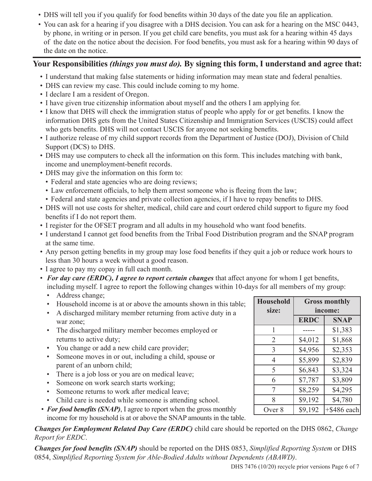- DHS will tell you if you qualify for food benefits within 30 days of the date you file an application.
- You can ask for a hearing if you disagree with a DHS decision. You can ask for a hearing on the MSC 0443, by phone, in writing or in person. If you get child care benefits, you must ask for a hearing within 45 days of the date on the notice about the decision. For food benefits, you must ask for a hearing within 90 days of the date on the notice.

#### **Your Responsibilities** *(things you must do).* **By signing this form, I understand and agree that:**

- I understand that making false statements or hiding information may mean state and federal penalties.
- DHS can review my case. This could include coming to my home.
- I declare I am a resident of Oregon.
- I have given true citizenship information about myself and the others I am applying for.
- I know that DHS will check the immigration status of people who apply for or get benefits. I know the information DHS gets from the United States Citizenship and Immigration Services (USCIS) could affect who gets benefits. DHS will not contact USCIS for anyone not seeking benefits.
- I authorize release of my child support records from the Department of Justice (DOJ), Division of Child Support (DCS) to DHS.
- DHS may use computers to check all the information on this form. This includes matching with bank, income and unemployment-benefit records.
- DHS may give the information on this form to:
	- Federal and state agencies who are doing reviews;
	- Law enforcement officials, to help them arrest someone who is fleeing from the law;
	- Federal and state agencies and private collection agencies, if I have to repay benefits to DHS.
- DHS will not use costs for shelter, medical, child care and court ordered child support to figure my food benefits if I do not report them.
- I register for the OFSET program and all adults in my household who want food benefits.
- I understand I cannot get food benefits from the Tribal Food Distribution program and the SNAP program at the same time.
- Any person getting benefits in my group may lose food benefits if they quit a job or reduce work hours to less than 30 hours a week without a good reason.
- I agree to pay my copay in full each month.
- *For day care (ERDC), I agree to report certain changes* that affect anyone for whom I get benefits, including myself. I agree to report the following changes within 10-days for all members of my group:
	- Address change;
	- Household income is at or above the amounts shown in this table;
	- A discharged military member returning from active duty in a war zone;
	- The discharged military member becomes employed or returns to active duty;
	- You change or add a new child care provider;
	- Someone moves in or out, including a child, spouse or parent of an unborn child;
	- There is a job loss or you are on medical leave;
	- Someone on work search starts working;
	- Someone returns to work after medical leave;
	- Child care is needed while someone is attending school.
- *For food benefits (SNAP)*, I agree to report when the gross monthly income for my household is at or above the SNAP amounts in the table.

*Changes for Employment Related Day Care (ERDC)* child care should be reported on the DHS 0862, *Change Report for ERDC*.

*Changes for food benefits (SNAP)* should be reported on the DHS 0853, *Simplified Reporting System* or DHS 0854, *Simplified Reporting System for Able-Bodied Adults without Dependents (ABAWD)*.

| DHS 7476 (10/20) recycle prior versions Page 6 of 7 |  |  |  |  |
|-----------------------------------------------------|--|--|--|--|
|-----------------------------------------------------|--|--|--|--|

| <b>Household</b><br>size: | <b>Gross monthly</b><br>income: |                |  |
|---------------------------|---------------------------------|----------------|--|
|                           | <b>ERDC</b>                     | <b>SNAP</b>    |  |
| 1                         |                                 | \$1,383        |  |
| $\overline{2}$            | \$4,012                         | \$1,868        |  |
| 3                         | \$4,956                         | \$2,353        |  |
| 4                         | \$5,899                         | \$2,839        |  |
| 5                         | \$6,843                         | \$3,324        |  |
| 6                         | \$7,787                         | \$3,809        |  |
| 7                         | \$8,259                         | \$4,295        |  |
| 8                         | \$9,192                         | \$4,780        |  |
| Over 8                    | \$9,192                         | $+$ \$486 each |  |